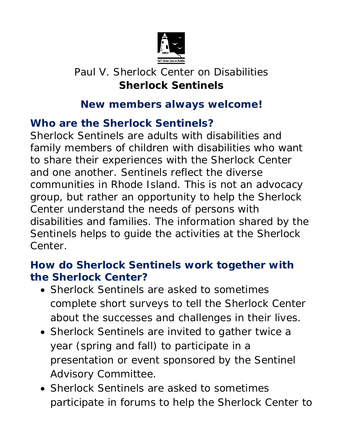

# Paul V. Sherlock Center on Disabilities **Sherlock Sentinels**

### **New members always welcome!**

## **Who are the Sherlock Sentinels?**

Sherlock Sentinels are adults with disabilities and family members of children with disabilities who want to share their experiences with the Sherlock Center and one another. Sentinels reflect the diverse communities in Rhode Island. This is not an advocacy group, but rather an opportunity to help the Sherlock Center understand the needs of persons with disabilities and families. The information shared by the Sentinels helps to guide the activities at the Sherlock Center.

#### **How do Sherlock Sentinels work together with the Sherlock Center?**

- Sherlock Sentinels are asked to sometimes complete short surveys to tell the Sherlock Center about the successes and challenges in their lives.
- Sherlock Sentinels are invited to gather twice a year (spring and fall) to participate in a presentation or event sponsored by the Sentinel Advisory Committee.
- Sherlock Sentinels are asked to sometimes participate in forums to help the Sherlock Center to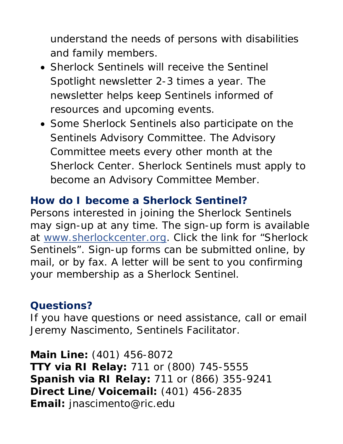understand the needs of persons with disabilities and family members.

- Sherlock Sentinels will receive the *Sentinel Spotlight* newsletter 2-3 times a year. The newsletter helps keep Sentinels informed of resources and upcoming events.
- Some Sherlock Sentinels also participate on the Sentinels Advisory Committee. The Advisory Committee meets every other month at the Sherlock Center. Sherlock Sentinels must apply to become an Advisory Committee Member.

## **How do I become a Sherlock Sentinel?**

Persons interested in joining the Sherlock Sentinels may sign-up at any time. The sign-up form is available at [www.sherlockcenter.org.](http://www.sherlockcenter.org/) Click the link for "Sherlock Sentinels". Sign-up forms can be submitted online, by mail, or by fax. A letter will be sent to you confirming your membership as a Sherlock Sentinel.

## **Questions?**

If you have questions or need assistance, call or email Jeremy Nascimento, Sentinels Facilitator.

**Main Line:** (401) 456-8072 **TTY via RI Relay:** 711 or (800) 745-5555 **Spanish via RI Relay:** 711 or (866) 355-9241 **Direct Line/Voicemail:** (401) 456-2835 **Email:** [jnascimento@ric.edu](mailto:jnascimento@ric.edu)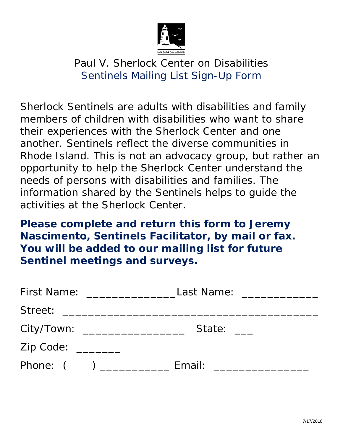

## Paul V. Sherlock Center on Disabilities Sentinels Mailing List Sign-Up Form

Sherlock Sentinels are adults with disabilities and family members of children with disabilities who want to share their experiences with the Sherlock Center and one another. Sentinels reflect the diverse communities in Rhode Island. This is not an advocacy group, but rather an opportunity to help the Sherlock Center understand the needs of persons with disabilities and families. The information shared by the Sentinels helps to guide the activities at the Sherlock Center.

**Please complete and return this form to Jeremy Nascimento, Sentinels Facilitator, by mail or fax. You will be added to our mailing list for future Sentinel meetings and surveys.**

| First Name:                       | Last Name: _____________ |
|-----------------------------------|--------------------------|
| Street: _________________________ |                          |
| City/Town:                        | State:                   |
| Zip Code: _______                 |                          |
| Phone: $($ )                      | Email:                   |